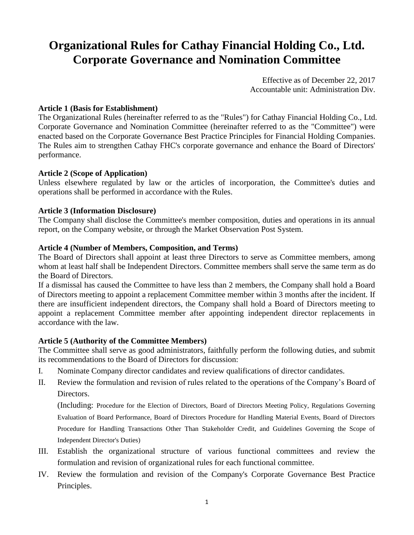# **Organizational Rules for Cathay Financial Holding Co., Ltd. Corporate Governance and Nomination Committee**

Effective as of December 22, 2017 Accountable unit: Administration Div.

#### **Article 1 (Basis for Establishment)**

The Organizational Rules (hereinafter referred to as the "Rules") for Cathay Financial Holding Co., Ltd. Corporate Governance and Nomination Committee (hereinafter referred to as the "Committee") were enacted based on the Corporate Governance Best Practice Principles for Financial Holding Companies. The Rules aim to strengthen Cathay FHC's corporate governance and enhance the Board of Directors' performance.

### **Article 2 (Scope of Application)**

Unless elsewhere regulated by law or the articles of incorporation, the Committee's duties and operations shall be performed in accordance with the Rules.

### **Article 3 (Information Disclosure)**

The Company shall disclose the Committee's member composition, duties and operations in its annual report, on the Company website, or through the Market Observation Post System.

### **Article 4 (Number of Members, Composition, and Terms)**

The Board of Directors shall appoint at least three Directors to serve as Committee members, among whom at least half shall be Independent Directors. Committee members shall serve the same term as do the Board of Directors.

If a dismissal has caused the Committee to have less than 2 members, the Company shall hold a Board of Directors meeting to appoint a replacement Committee member within 3 months after the incident. If there are insufficient independent directors, the Company shall hold a Board of Directors meeting to appoint a replacement Committee member after appointing independent director replacements in accordance with the law.

#### **Article 5 (Authority of the Committee Members)**

The Committee shall serve as good administrators, faithfully perform the following duties, and submit its recommendations to the Board of Directors for discussion:

- I. Nominate Company director candidates and review qualifications of director candidates.
- II. Review the formulation and revision of rules related to the operations of the Company's Board of Directors.

(Including: Procedure for the Election of Directors, Board of Directors Meeting Policy, Regulations Governing Evaluation of Board Performance, Board of Directors Procedure for Handling Material Events, Board of Directors Procedure for Handling Transactions Other Than Stakeholder Credit, and Guidelines Governing the Scope of Independent Director's Duties)

- III. Establish the organizational structure of various functional committees and review the formulation and revision of organizational rules for each functional committee.
- IV. Review the formulation and revision of the Company's Corporate Governance Best Practice Principles.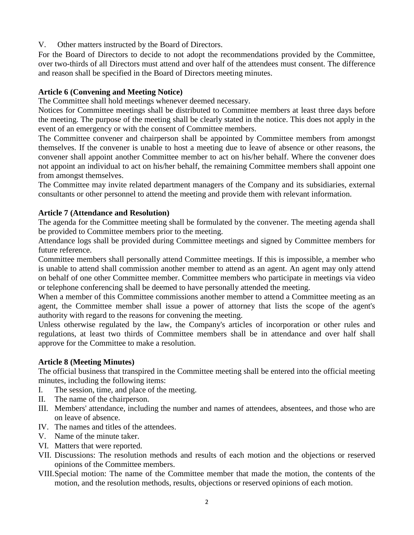V. Other matters instructed by the Board of Directors.

For the Board of Directors to decide to not adopt the recommendations provided by the Committee, over two-thirds of all Directors must attend and over half of the attendees must consent. The difference and reason shall be specified in the Board of Directors meeting minutes.

# **Article 6 (Convening and Meeting Notice)**

The Committee shall hold meetings whenever deemed necessary.

Notices for Committee meetings shall be distributed to Committee members at least three days before the meeting. The purpose of the meeting shall be clearly stated in the notice. This does not apply in the event of an emergency or with the consent of Committee members.

The Committee convener and chairperson shall be appointed by Committee members from amongst themselves. If the convener is unable to host a meeting due to leave of absence or other reasons, the convener shall appoint another Committee member to act on his/her behalf. Where the convener does not appoint an individual to act on his/her behalf, the remaining Committee members shall appoint one from amongst themselves.

The Committee may invite related department managers of the Company and its subsidiaries, external consultants or other personnel to attend the meeting and provide them with relevant information.

# **Article 7 (Attendance and Resolution)**

The agenda for the Committee meeting shall be formulated by the convener. The meeting agenda shall be provided to Committee members prior to the meeting.

Attendance logs shall be provided during Committee meetings and signed by Committee members for future reference.

Committee members shall personally attend Committee meetings. If this is impossible, a member who is unable to attend shall commission another member to attend as an agent. An agent may only attend on behalf of one other Committee member. Committee members who participate in meetings via video or telephone conferencing shall be deemed to have personally attended the meeting.

When a member of this Committee commissions another member to attend a Committee meeting as an agent, the Committee member shall issue a power of attorney that lists the scope of the agent's authority with regard to the reasons for convening the meeting.

Unless otherwise regulated by the law, the Company's articles of incorporation or other rules and regulations, at least two thirds of Committee members shall be in attendance and over half shall approve for the Committee to make a resolution.

# **Article 8 (Meeting Minutes)**

The official business that transpired in the Committee meeting shall be entered into the official meeting minutes, including the following items:

- I. The session, time, and place of the meeting.
- II. The name of the chairperson.
- III. Members' attendance, including the number and names of attendees, absentees, and those who are on leave of absence.
- IV. The names and titles of the attendees.
- V. Name of the minute taker.
- VI. Matters that were reported.
- VII. Discussions: The resolution methods and results of each motion and the objections or reserved opinions of the Committee members.
- VIII.Special motion: The name of the Committee member that made the motion, the contents of the motion, and the resolution methods, results, objections or reserved opinions of each motion.